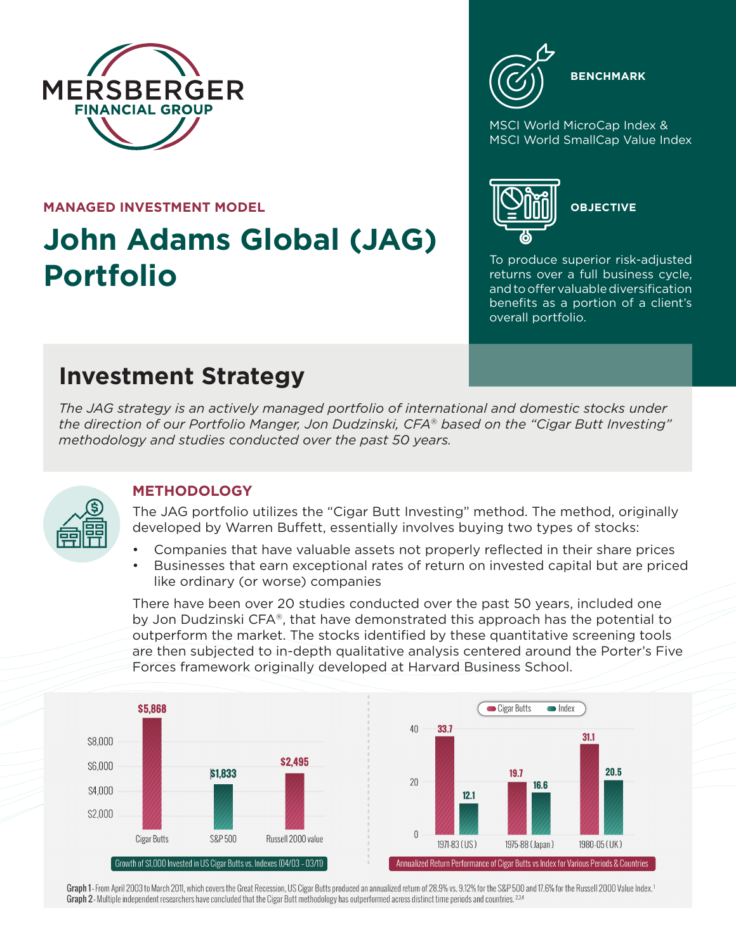

#### **MANAGED INVESTMENT MODEL**

# **John Adams Global (JAG) Portfolio**



**BENCHMARK**

MSCI World MicroCap Index & MSCI World SmallCap Value Index



**OBJECTIVE**

To produce superior risk-adjusted returns over a full business cycle, and to offer valuable diversification benefits as a portion of a client's overall portfolio.

## **Investment Strategy**

*The JAG strategy is an actively managed portfolio of international and domestic stocks under the direction of our Portfolio Manger, Jon Dudzinski, CFA® based on the "Cigar Butt Investing" methodology and studies conducted over the past 50 years.*



### **METHODOLOGY**

The JAG portfolio utilizes the "Cigar Butt Investing" method. The method, originally developed by Warren Buffett, essentially involves buying two types of stocks:

- Companies that have valuable assets not properly reflected in their share prices
- Businesses that earn exceptional rates of return on invested capital but are priced like ordinary (or worse) companies

There have been over 20 studies conducted over the past 50 years, included one by Jon Dudzinski CFA®, that have demonstrated this approach has the potential to outperform the market. The stocks identified by these quantitative screening tools are then subjected to in-depth qualitative analysis centered around the Porter's Five Forces framework originally developed at Harvard Business School.



Graph 1- From April 2003 to March 2011, which covers the Great Recession, US Cigar Butts produced an annualized return of 28.9% vs. 9.12% for the S&P 500 and 17.6% for the Russell 2000 Value Index.<sup>1</sup> Graph 2 - Multiple independent researchers have concluded that the Cigar Butt methodology has outperformed across distinct time periods and countries.<sup>234</sup>